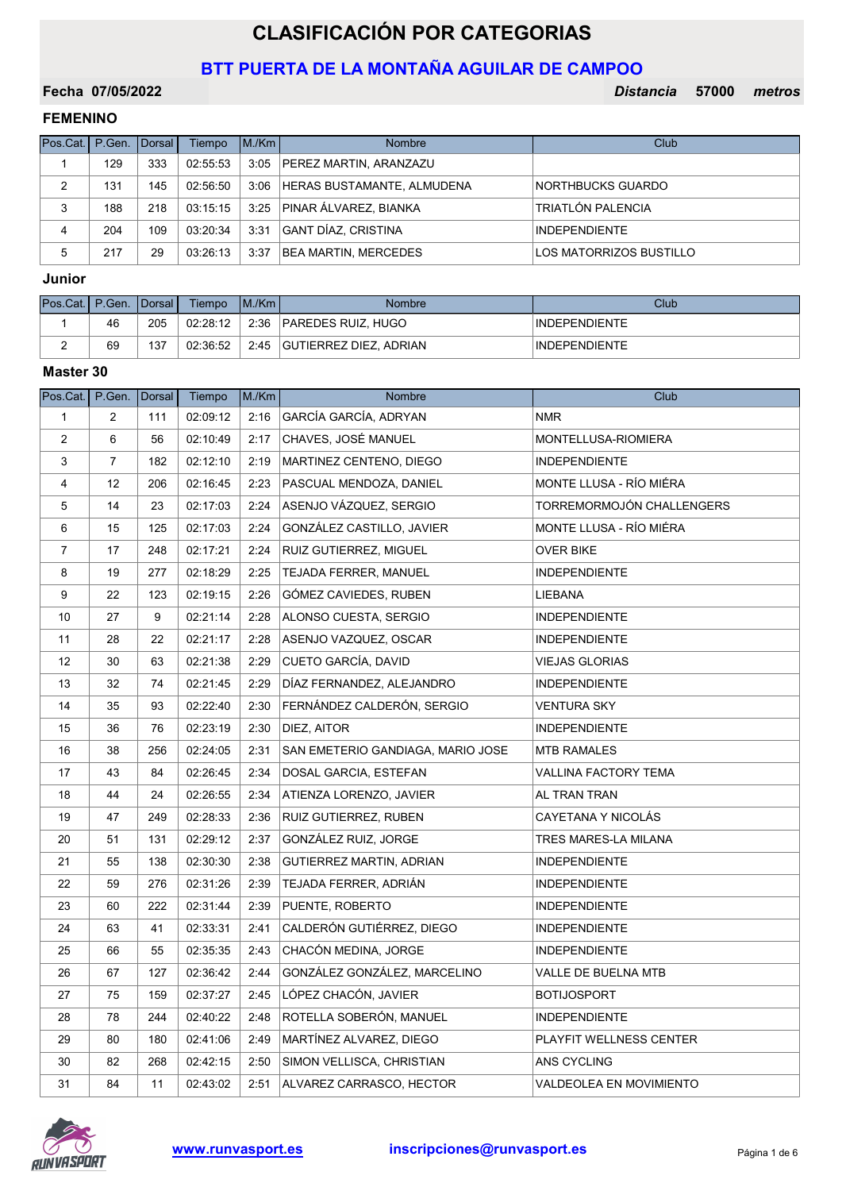# CLASIFICACIÓN POR CATEGORIAS

## BTT PUERTA DE LA MONTAÑA AGUILAR DE CAMPOO

## Fecha 07/05/2022

Distancia 57000 metros

## FEMENINO

| Pos.Cat.   P.Gen.   Dorsal |     |     | Tiempo   | M/Km | <b>Nombre</b>                     | Club                     |
|----------------------------|-----|-----|----------|------|-----------------------------------|--------------------------|
|                            | 129 | 333 | 02:55:53 |      | 3:05   PEREZ MARTIN, ARANZAZU     |                          |
| 2                          | 131 | 145 | 02:56:50 |      | 3:06   HERAS BUSTAMANTE, ALMUDENA | <b>NORTHBUCKS GUARDO</b> |
| 3                          | 188 | 218 | 03:15:15 |      | 3:25 PINAR ÁLVAREZ, BIANKA        | TRIATLÓN PALENCIA        |
| 4                          | 204 | 109 | 03:20:34 | 3:31 | GANT DÍAZ, CRISTINA               | <b>INDEPENDIENTE</b>     |
| 5                          | 217 | 29  | 03:26:13 | 3:37 | <b>BEA MARTIN, MERCEDES</b>       | LOS MATORRIZOS BUSTILLO  |

## Junior

| Pos.Cat.   P.Gen.   Dorsal |    |     | Tiempo   | IM/Km | <b>Nombre</b>                 | Club                 |
|----------------------------|----|-----|----------|-------|-------------------------------|----------------------|
|                            | 46 | 205 | 02:28:12 | 2:36  | <b>PAREDES RUIZ, HUGO</b>     | <b>INDEPENDIENTE</b> |
| -                          | 69 | 137 | 02:36:52 | 2:45  | <b>GUTIERREZ DIEZ, ADRIAN</b> | <b>INDEPENDIENTE</b> |

| Pos.Cat.       | P.Gen.         | <b>Dorsal</b> | Tiempo   | M./Km | Nombre                            | Club                      |
|----------------|----------------|---------------|----------|-------|-----------------------------------|---------------------------|
| $\mathbf{1}$   | $\overline{2}$ | 111           | 02:09:12 | 2:16  | GARCÍA GARCÍA, ADRYAN             | <b>NMR</b>                |
| 2              | 6              | 56            | 02:10:49 | 2:17  | CHAVES, JOSÉ MANUEL               | MONTELLUSA-RIOMIERA       |
| 3              | $\overline{7}$ | 182           | 02:12:10 | 2:19  | MARTINEZ CENTENO, DIEGO           | <b>INDEPENDIENTE</b>      |
| 4              | 12             | 206           | 02:16:45 | 2:23  | PASCUAL MENDOZA, DANIEL           | MONTE LLUSA - RÍO MIÉRA   |
| 5              | 14             | 23            | 02:17:03 | 2:24  | ASENJO VÁZQUEZ, SERGIO            | TORREMORMOJÓN CHALLENGERS |
| 6              | 15             | 125           | 02:17:03 | 2:24  | GONZÁLEZ CASTILLO, JAVIER         | MONTE LLUSA - RÍO MIÉRA   |
| $\overline{7}$ | 17             | 248           | 02:17:21 | 2:24  | <b>RUIZ GUTIERREZ, MIGUEL</b>     | <b>OVER BIKE</b>          |
| 8              | 19             | 277           | 02:18:29 | 2:25  | TEJADA FERRER, MANUEL             | <b>INDEPENDIENTE</b>      |
| 9              | 22             | 123           | 02:19:15 | 2:26  | GÓMEZ CAVIEDES, RUBEN             | LIEBANA                   |
| 10             | 27             | 9             | 02:21:14 | 2:28  | ALONSO CUESTA, SERGIO             | <b>INDEPENDIENTE</b>      |
| 11             | 28             | 22            | 02:21:17 | 2:28  | ASENJO VAZQUEZ, OSCAR             | <b>INDEPENDIENTE</b>      |
| 12             | 30             | 63            | 02:21:38 | 2:29  | CUETO GARCÍA, DAVID               | VIEJAS GLORIAS            |
| 13             | 32             | 74            | 02:21:45 | 2:29  | DÍAZ FERNANDEZ, ALEJANDRO         | <b>INDEPENDIENTE</b>      |
| 14             | 35             | 93            | 02:22:40 | 2:30  | FERNÁNDEZ CALDERÓN, SERGIO        | <b>VENTURA SKY</b>        |
| 15             | 36             | 76            | 02:23:19 | 2:30  | DIEZ, AITOR                       | <b>INDEPENDIENTE</b>      |
| 16             | 38             | 256           | 02:24:05 | 2:31  | SAN EMETERIO GANDIAGA, MARIO JOSE | MTB RAMALES               |
| 17             | 43             | 84            | 02:26:45 | 2:34  | DOSAL GARCIA, ESTEFAN             | VALLINA FACTORY TEMA      |
| 18             | 44             | 24            | 02:26:55 | 2:34  | ATIENZA LORENZO, JAVIER           | AL TRAN TRAN              |
| 19             | 47             | 249           | 02:28:33 | 2:36  | RUIZ GUTIERREZ, RUBEN             | CAYETANA Y NICOLÁS        |
| 20             | 51             | 131           | 02:29:12 | 2:37  | GONZÁLEZ RUIZ, JORGE              | TRES MARES-LA MILANA      |
| 21             | 55             | 138           | 02:30:30 | 2:38  | GUTIERREZ MARTIN, ADRIAN          | INDEPENDIENTE             |
| 22             | 59             | 276           | 02:31:26 | 2:39  | TEJADA FERRER, ADRIÁN             | <b>INDEPENDIENTE</b>      |
| 23             | 60             | 222           | 02:31:44 | 2:39  | PUENTE, ROBERTO                   | <b>INDEPENDIENTE</b>      |
| 24             | 63             | 41            | 02:33:31 | 2:41  | CALDERÓN GUTIÉRREZ, DIEGO         | <b>INDEPENDIENTE</b>      |
| 25             | 66             | 55            | 02:35:35 | 2:43  | CHACÓN MEDINA, JORGE              | <b>INDEPENDIENTE</b>      |
| 26             | 67             | 127           | 02:36:42 | 2:44  | GONZÁLEZ GONZÁLEZ, MARCELINO      | VALLE DE BUELNA MTB       |
| 27             | 75             | 159           | 02:37:27 | 2:45  | LÓPEZ CHACÓN, JAVIER              | <b>BOTIJOSPORT</b>        |
| 28             | 78             | 244           | 02:40:22 | 2:48  | ROTELLA SOBERÓN, MANUEL           | <b>INDEPENDIENTE</b>      |
| 29             | 80             | 180           | 02:41:06 | 2:49  | MARTÍNEZ ALVAREZ, DIEGO           | PLAYFIT WELLNESS CENTER   |
| 30             | 82             | 268           | 02:42:15 | 2:50  | SIMON VELLISCA, CHRISTIAN         | ANS CYCLING               |
| 31             | 84             | 11            | 02:43:02 | 2:51  | ALVAREZ CARRASCO, HECTOR          | VALDEOLEA EN MOVIMIENTO   |

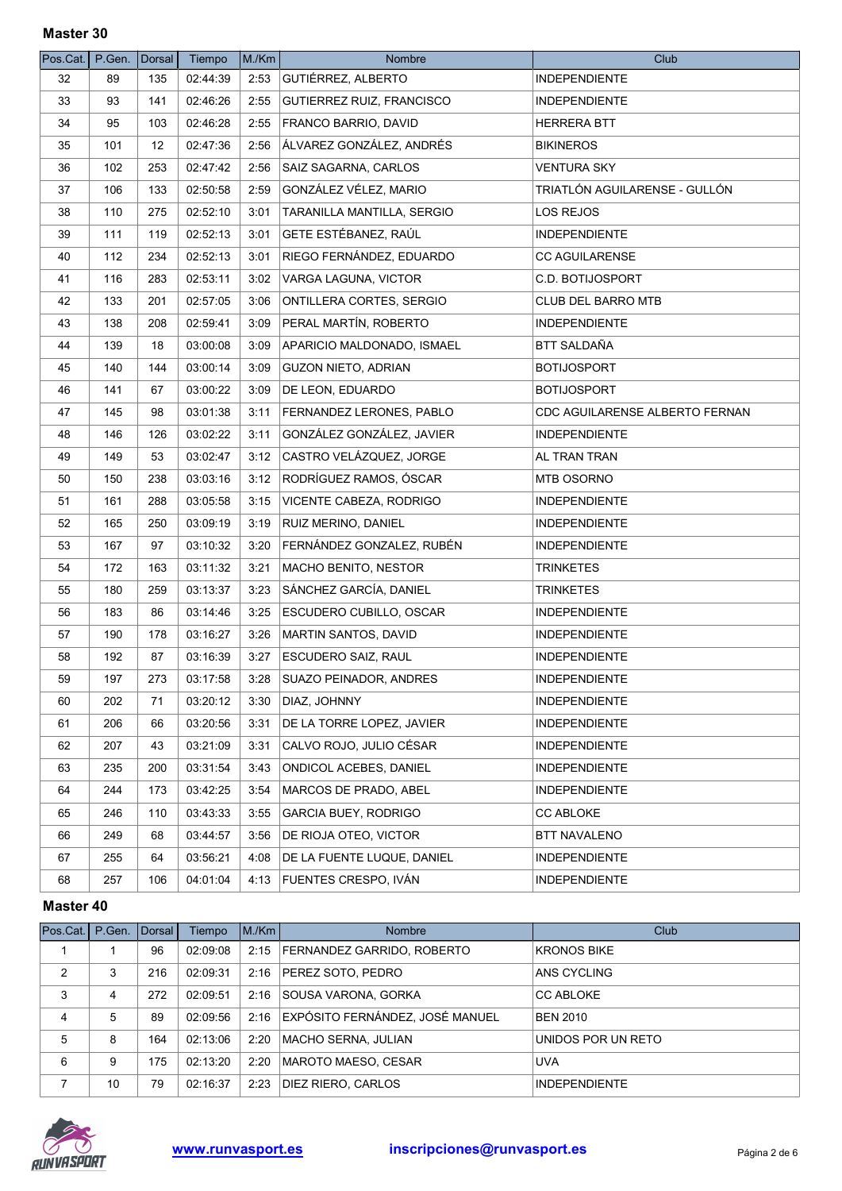| Pos.Cat. | P.Gen. | Dorsal | Tiempo   | M./Km | <b>Nombre</b>                   | Club                           |
|----------|--------|--------|----------|-------|---------------------------------|--------------------------------|
| 32       | 89     | 135    | 02:44:39 | 2:53  | <b>GUTIÉRREZ, ALBERTO</b>       | <b>INDEPENDIENTE</b>           |
| 33       | 93     | 141    | 02:46:26 | 2:55  | GUTIERREZ RUIZ, FRANCISCO       | <b>INDEPENDIENTE</b>           |
| 34       | 95     | 103    | 02:46:28 | 2:55  | FRANCO BARRIO, DAVID            | <b>HERRERA BTT</b>             |
| 35       | 101    | 12     | 02:47:36 | 2:56  | ÁLVAREZ GONZÁLEZ, ANDRÉS        | <b>BIKINEROS</b>               |
| 36       | 102    | 253    | 02:47:42 | 2:56  | SAIZ SAGARNA, CARLOS            | <b>VENTURA SKY</b>             |
| 37       | 106    | 133    | 02:50:58 | 2:59  | GONZÁLEZ VÉLEZ, MARIO           | TRIATLÓN AGUILARENSE - GULLÓN  |
| 38       | 110    | 275    | 02:52:10 | 3:01  | TARANILLA MANTILLA, SERGIO      | LOS REJOS                      |
| 39       | 111    | 119    | 02:52:13 | 3:01  | <b>GETE ESTÉBANEZ, RAÚL</b>     | <b>INDEPENDIENTE</b>           |
| 40       | 112    | 234    | 02:52:13 | 3:01  | RIEGO FERNÁNDEZ, EDUARDO        | <b>CC AGUILARENSE</b>          |
| 41       | 116    | 283    | 02:53:11 | 3:02  | VARGA LAGUNA, VICTOR            | C.D. BOTIJOSPORT               |
| 42       | 133    | 201    | 02:57:05 | 3:06  | ONTILLERA CORTES, SERGIO        | <b>CLUB DEL BARRO MTB</b>      |
| 43       | 138    | 208    | 02:59:41 | 3:09  | PERAL MARTÍN, ROBERTO           | <b>INDEPENDIENTE</b>           |
| 44       | 139    | 18     | 03:00:08 | 3:09  | APARICIO MALDONADO, ISMAEL      | BTT SALDAÑA                    |
| 45       | 140    | 144    | 03:00:14 | 3:09  | <b>GUZON NIETO, ADRIAN</b>      | <b>BOTIJOSPORT</b>             |
| 46       | 141    | 67     | 03:00:22 | 3:09  | DE LEON, EDUARDO                | <b>BOTIJOSPORT</b>             |
| 47       | 145    | 98     | 03:01:38 | 3:11  | <b>FERNANDEZ LERONES, PABLO</b> | CDC AGUILARENSE ALBERTO FERNAN |
| 48       | 146    | 126    | 03:02:22 | 3:11  | GONZÁLEZ GONZÁLEZ, JAVIER       | <b>INDEPENDIENTE</b>           |
| 49       | 149    | 53     | 03:02:47 | 3:12  | CASTRO VELÁZQUEZ, JORGE         | AL TRAN TRAN                   |
| 50       | 150    | 238    | 03:03:16 | 3:12  | RODRÍGUEZ RAMOS, ÓSCAR          | MTB OSORNO                     |
| 51       | 161    | 288    | 03:05:58 | 3:15  | VICENTE CABEZA, RODRIGO         | <b>INDEPENDIENTE</b>           |
| 52       | 165    | 250    | 03:09:19 | 3:19  | <b>RUIZ MERINO, DANIEL</b>      | <b>INDEPENDIENTE</b>           |
| 53       | 167    | 97     | 03:10:32 | 3:20  | FERNÁNDEZ GONZALEZ, RUBÉN       | <b>INDEPENDIENTE</b>           |
| 54       | 172    | 163    | 03:11:32 | 3:21  | MACHO BENITO, NESTOR            | <b>TRINKETES</b>               |
| 55       | 180    | 259    | 03:13:37 | 3:23  | SÁNCHEZ GARCÍA, DANIEL          | <b>TRINKETES</b>               |
| 56       | 183    | 86     | 03:14:46 | 3:25  | ESCUDERO CUBILLO, OSCAR         | <b>INDEPENDIENTE</b>           |
| 57       | 190    | 178    | 03:16:27 | 3:26  | MARTIN SANTOS, DAVID            | <b>INDEPENDIENTE</b>           |
| 58       | 192    | 87     | 03:16:39 | 3:27  | <b>ESCUDERO SAIZ, RAUL</b>      | INDEPENDIENTE                  |
| 59       | 197    | 273    | 03:17:58 | 3:28  | SUAZO PEINADOR, ANDRES          | INDEPENDIENTE                  |
| 60       | 202    | 71     | 03:20:12 | 3:30  | DIAZ, JOHNNY                    | <b>INDEPENDIENTE</b>           |
| 61       | 206    | 66     | 03:20:56 | 3:31  | DE LA TORRE LOPEZ, JAVIER       | <b>INDEPENDIENTE</b>           |
| 62       | 207    | 43     | 03:21:09 | 3:31  | CALVO ROJO, JULIO CÉSAR         | <b>INDEPENDIENTE</b>           |
| 63       | 235    | 200    | 03:31:54 | 3:43  | ONDICOL ACEBES, DANIEL          | <b>INDEPENDIENTE</b>           |
| 64       | 244    | 173    | 03:42:25 | 3:54  | MARCOS DE PRADO, ABEL           | <b>INDEPENDIENTE</b>           |
| 65       | 246    | 110    | 03:43:33 | 3:55  | <b>GARCIA BUEY, RODRIGO</b>     | <b>CC ABLOKE</b>               |
| 66       | 249    | 68     | 03:44:57 | 3:56  | DE RIOJA OTEO, VICTOR           | <b>BTT NAVALENO</b>            |
| 67       | 255    | 64     | 03:56:21 | 4:08  | DE LA FUENTE LUQUE, DANIEL      | <b>INDEPENDIENTE</b>           |
| 68       | 257    | 106    | 04:01:04 |       | 4:13   FUENTES CRESPO, IVÁN     | <b>INDEPENDIENTE</b>           |

| Pos.Cat.   P.Gen.   Dorsal |    |     | Tiempo   | M/Km | <b>Nombre</b>                     | Club                 |
|----------------------------|----|-----|----------|------|-----------------------------------|----------------------|
|                            |    | 96  | 02:09:08 |      | 2:15   FERNANDEZ GARRIDO, ROBERTO | <b>KRONOS BIKE</b>   |
| 2                          | 3  | 216 | 02:09:31 |      | 2:16   PEREZ SOTO, PEDRO          | ANS CYCLING          |
| 3                          | 4  | 272 | 02:09:51 | 2:16 | SOUSA VARONA, GORKA               | <b>CC ABLOKE</b>     |
| 4                          | 5  | 89  | 02:09:56 | 2:16 | EXPÓSITO FERNÁNDEZ, JOSÉ MANUEL   | <b>BEN 2010</b>      |
| 5                          | 8  | 164 | 02:13:06 | 2:20 | MACHO SERNA, JULIAN               | UNIDOS POR UN RETO   |
| 6                          | 9  | 175 | 02:13:20 | 2:20 | MAROTO MAESO, CESAR               | <b>UVA</b>           |
|                            | 10 | 79  | 02:16:37 | 2:23 | DIEZ RIERO, CARLOS                | <b>INDEPENDIENTE</b> |

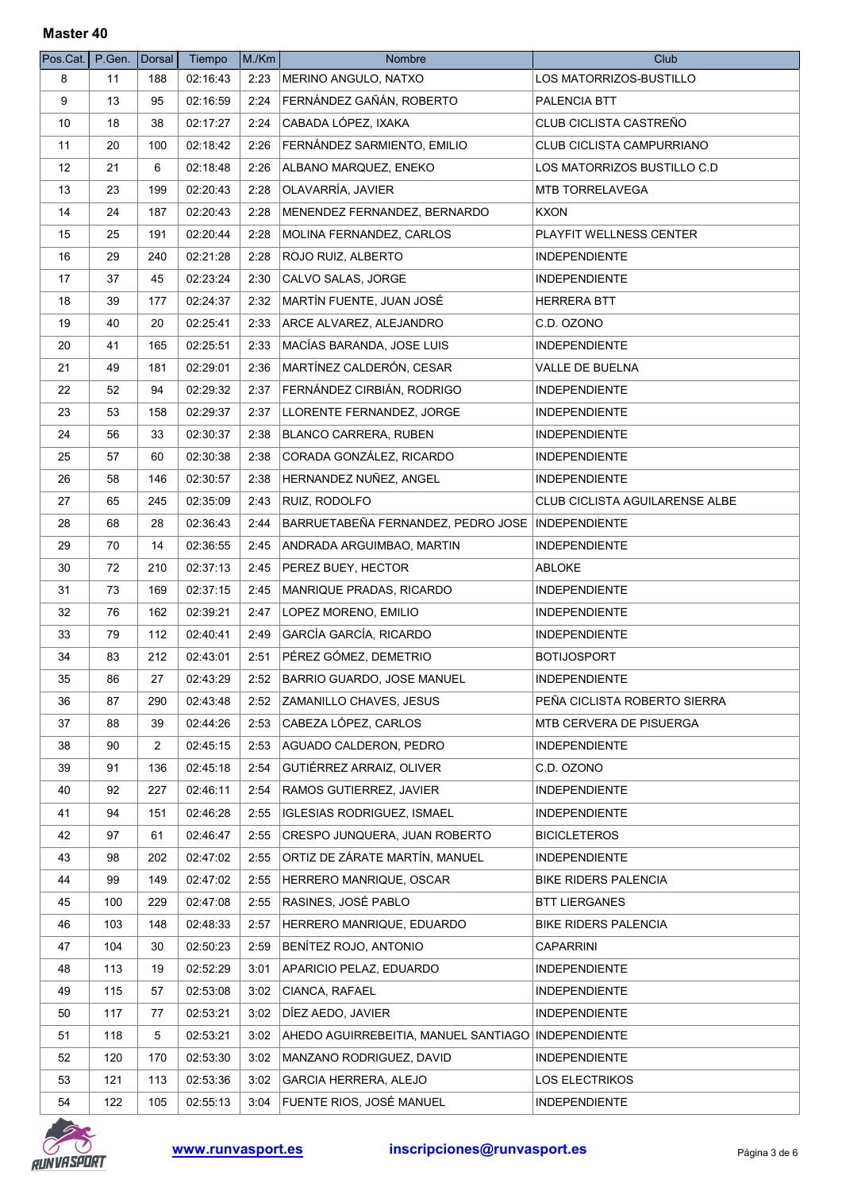| Pos.Cat.   P.Gen. |     | Dorsal | Tiempo   | M/Km | Nombre                                             | Club                           |
|-------------------|-----|--------|----------|------|----------------------------------------------------|--------------------------------|
| 8                 | 11  | 188    | 02:16:43 | 2:23 | MERINO ANGULO, NATXO                               | LOS MATORRIZOS-BUSTILLO        |
| 9                 | 13  | 95     | 02:16:59 | 2:24 | FERNÁNDEZ GAÑÁN, ROBERTO                           | PALENCIA BTT                   |
| 10                | 18  | 38     | 02:17:27 | 2:24 | CABADA LÓPEZ, IXAKA                                | CLUB CICLISTA CASTREÑO         |
| 11                | 20  | 100    | 02:18:42 | 2:26 | FERNÁNDEZ SARMIENTO, EMILIO                        | CLUB CICLISTA CAMPURRIANO      |
| 12                | 21  | 6      | 02:18:48 | 2:26 | ALBANO MARQUEZ, ENEKO                              | LOS MATORRIZOS BUSTILLO C.D    |
| 13                | 23  | 199    | 02:20:43 | 2:28 | OLAVARRÍA, JAVIER                                  | MTB TORRELAVEGA                |
| 14                | 24  | 187    | 02:20:43 | 2:28 | MENENDEZ FERNANDEZ, BERNARDO                       | <b>KXON</b>                    |
| 15                | 25  | 191    | 02:20:44 | 2:28 | MOLINA FERNANDEZ, CARLOS                           | <b>PLAYFIT WELLNESS CENTER</b> |
| 16                | 29  | 240    | 02:21:28 | 2:28 | ROJO RUIZ, ALBERTO                                 | <b>INDEPENDIENTE</b>           |
| 17                | 37  | 45     | 02:23:24 | 2:30 | CALVO SALAS, JORGE                                 | <b>INDEPENDIENTE</b>           |
| 18                | 39  | 177    | 02:24:37 | 2:32 | MARTÍN FUENTE, JUAN JOSÉ                           | <b>HERRERA BTT</b>             |
| 19                | 40  | 20     | 02:25:41 | 2:33 | ARCE ALVAREZ, ALEJANDRO                            | C.D. OZONO                     |
| 20                | 41  | 165    | 02:25:51 | 2:33 | MACÍAS BARANDA, JOSE LUIS                          | <b>INDEPENDIENTE</b>           |
| 21                | 49  | 181    | 02:29:01 | 2:36 | MARTÍNEZ CALDERÓN, CESAR                           | VALLE DE BUELNA                |
| 22                | 52  | 94     | 02:29:32 | 2:37 | FERNÁNDEZ CIRBIÁN, RODRIGO                         | <b>INDEPENDIENTE</b>           |
| 23                | 53  | 158    | 02:29:37 | 2:37 | LLORENTE FERNANDEZ, JORGE                          | <b>INDEPENDIENTE</b>           |
| 24                | 56  | 33     | 02:30:37 | 2:38 | <b>BLANCO CARRERA, RUBEN</b>                       | <b>INDEPENDIENTE</b>           |
| 25                | 57  | 60     | 02:30:38 | 2:38 | CORADA GONZÁLEZ, RICARDO                           | <b>INDEPENDIENTE</b>           |
| 26                | 58  | 146    | 02:30:57 | 2:38 | HERNANDEZ NUÑEZ, ANGEL                             | <b>INDEPENDIENTE</b>           |
| 27                | 65  | 245    | 02:35:09 | 2:43 | RUIZ, RODOLFO                                      | CLUB CICLISTA AGUILARENSE ALBE |
| 28                | 68  | 28     | 02:36:43 | 2:44 | BARRUETABEÑA FERNANDEZ, PEDRO JOSE                 | <b>INDEPENDIENTE</b>           |
| 29                | 70  | 14     | 02:36:55 | 2:45 | ANDRADA ARGUIMBAO, MARTIN                          | <b>INDEPENDIENTE</b>           |
| 30                | 72  | 210    | 02:37:13 | 2:45 | PEREZ BUEY, HECTOR                                 | <b>ABLOKE</b>                  |
| 31                | 73  | 169    | 02:37:15 | 2:45 | MANRIQUE PRADAS, RICARDO                           | <b>INDEPENDIENTE</b>           |
| 32                | 76  | 162    | 02:39:21 | 2:47 | LOPEZ MORENO, EMILIO                               | <b>INDEPENDIENTE</b>           |
| 33                | 79  | 112    | 02:40:41 | 2:49 | GARCÍA GARCÍA, RICARDO                             | <b>INDEPENDIENTE</b>           |
| 34                | 83  | 212    | 02:43:01 | 2:51 | PÉREZ GÓMEZ, DEMETRIO                              | <b>BOTIJOSPORT</b>             |
| 35                | 86  | 27     | 02:43:29 | 2:52 | <b>BARRIO GUARDO, JOSE MANUEL</b>                  | <b>INDEPENDIENTE</b>           |
|                   |     |        |          |      |                                                    | PEÑA CICLISTA ROBERTO SIERRA   |
| 36                | 87  | 290    | 02:43:48 | 2:52 | ZAMANILLO CHAVES, JESUS                            |                                |
| 37                | 88  | 39     | 02:44:26 | 2:53 | CABEZA LÓPEZ, CARLOS                               | MTB CERVERA DE PISUERGA        |
| 38                | 90  | 2      | 02:45:15 | 2:53 | AGUADO CALDERON, PEDRO                             | <b>INDEPENDIENTE</b>           |
| 39                | 91  | 136    | 02:45:18 | 2:54 | GUTIÉRREZ ARRAIZ, OLIVER                           | C.D. OZONO                     |
| 40                | 92  | 227    | 02:46:11 | 2:54 | RAMOS GUTIERREZ, JAVIER                            | <b>INDEPENDIENTE</b>           |
| 41                | 94  | 151    | 02:46:28 | 2:55 | IGLESIAS RODRIGUEZ, ISMAEL                         | <b>INDEPENDIENTE</b>           |
| 42                | 97  | 61     | 02:46:47 | 2:55 | CRESPO JUNQUERA, JUAN ROBERTO                      | <b>BICICLETEROS</b>            |
| 43                | 98  | 202    | 02:47:02 | 2:55 | ORTIZ DE ZÁRATE MARTÍN, MANUEL                     | <b>INDEPENDIENTE</b>           |
| 44                | 99  | 149    | 02:47:02 | 2:55 | HERRERO MANRIQUE, OSCAR                            | <b>BIKE RIDERS PALENCIA</b>    |
| 45                | 100 | 229    | 02:47:08 | 2:55 | RASINES, JOSÉ PABLO                                | <b>BTT LIERGANES</b>           |
| 46                | 103 | 148    | 02:48:33 | 2:57 | HERRERO MANRIQUE, EDUARDO                          | <b>BIKE RIDERS PALENCIA</b>    |
| 47                | 104 | 30     | 02:50:23 | 2:59 | BENÍTEZ ROJO, ANTONIO                              | <b>CAPARRINI</b>               |
| 48                | 113 | 19     | 02:52:29 | 3:01 | APARICIO PELAZ, EDUARDO                            | <b>INDEPENDIENTE</b>           |
| 49                | 115 | 57     | 02:53:08 | 3:02 | CIANCA, RAFAEL                                     | <b>INDEPENDIENTE</b>           |
| 50                | 117 | 77     | 02:53:21 | 3:02 | DÍEZ AEDO, JAVIER                                  | <b>INDEPENDIENTE</b>           |
| 51                | 118 | 5      | 02:53:21 | 3:02 | AHEDO AGUIRREBEITIA, MANUEL SANTIAGO INDEPENDIENTE |                                |
| 52                | 120 | 170    | 02:53:30 | 3:02 | MANZANO RODRIGUEZ, DAVID                           | <b>INDEPENDIENTE</b>           |
| 53                | 121 | 113    | 02:53:36 | 3:02 | <b>GARCIA HERRERA, ALEJO</b>                       | LOS ELECTRIKOS                 |
| 54                | 122 | 105    | 02:55:13 | 3:04 | <b>FUENTE RIOS, JOSÉ MANUEL</b>                    | <b>INDEPENDIENTE</b>           |

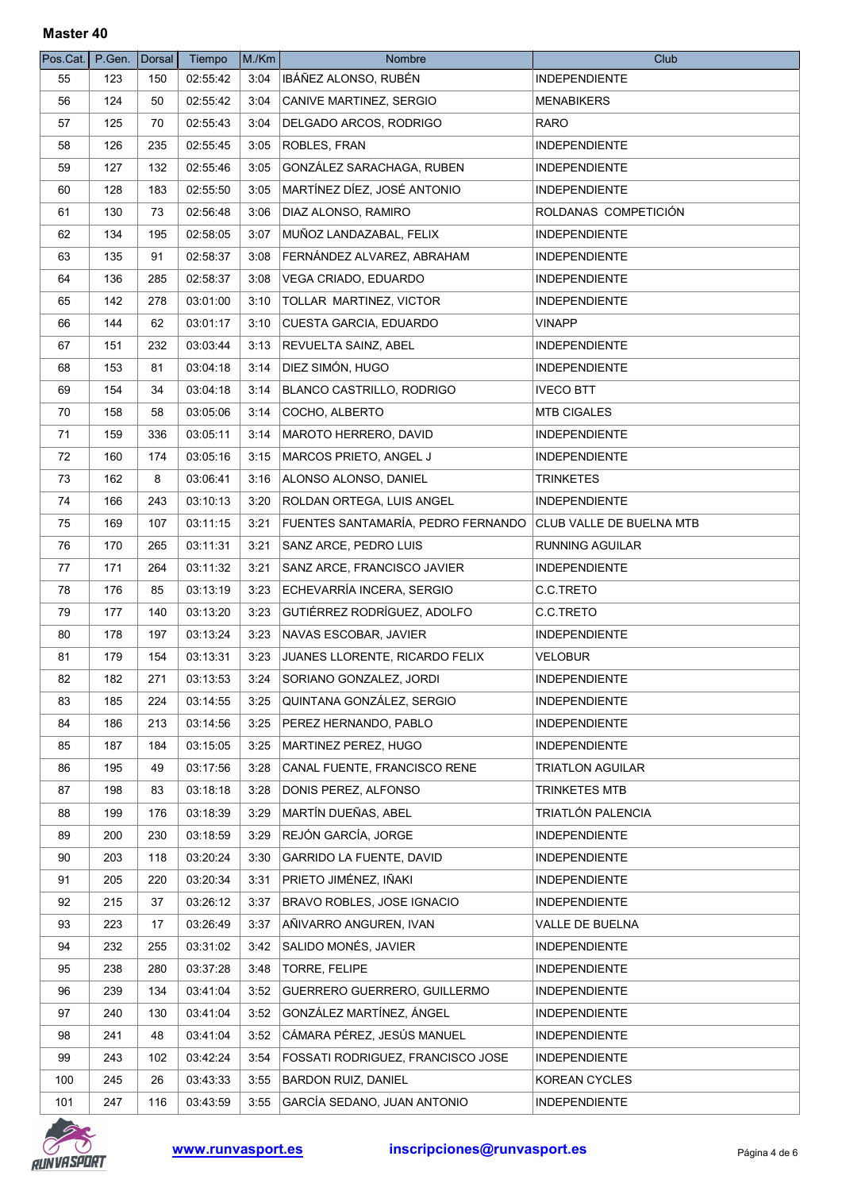| Pos.Cat.   P.Gen. |     | Dorsal | Tiempo   | M/Km | Nombre                             | Club                     |
|-------------------|-----|--------|----------|------|------------------------------------|--------------------------|
| 55                | 123 | 150    | 02:55:42 | 3:04 | IBÁÑEZ ALONSO, RUBÉN               | INDEPENDIENTE            |
| 56                | 124 | 50     | 02:55:42 | 3:04 | CANIVE MARTINEZ, SERGIO            | <b>MENABIKERS</b>        |
| 57                | 125 | 70     | 02:55:43 | 3:04 | DELGADO ARCOS, RODRIGO             | <b>RARO</b>              |
| 58                | 126 | 235    | 02:55:45 | 3:05 | <b>ROBLES, FRAN</b>                | <b>INDEPENDIENTE</b>     |
| 59                | 127 | 132    | 02:55:46 | 3:05 | GONZÁLEZ SARACHAGA, RUBEN          | <b>INDEPENDIENTE</b>     |
| 60                | 128 | 183    | 02:55:50 | 3:05 | MARTÍNEZ DÍEZ, JOSÉ ANTONIO        | <b>INDEPENDIENTE</b>     |
| 61                | 130 | 73     | 02:56:48 | 3:06 | DIAZ ALONSO, RAMIRO                | ROLDANAS COMPETICIÓN     |
| 62                | 134 | 195    | 02:58:05 | 3:07 | MUÑOZ LANDAZABAL, FELIX            | <b>INDEPENDIENTE</b>     |
| 63                | 135 | 91     | 02:58:37 | 3:08 | FERNÁNDEZ ALVAREZ, ABRAHAM         | <b>INDEPENDIENTE</b>     |
| 64                | 136 | 285    | 02:58:37 | 3:08 | VEGA CRIADO, EDUARDO               | <b>INDEPENDIENTE</b>     |
| 65                | 142 | 278    | 03:01:00 | 3:10 | <b>TOLLAR MARTINEZ, VICTOR</b>     | <b>INDEPENDIENTE</b>     |
| 66                | 144 | 62     | 03:01:17 | 3:10 | CUESTA GARCIA, EDUARDO             | <b>VINAPP</b>            |
| 67                | 151 | 232    | 03:03:44 | 3:13 | <b>REVUELTA SAINZ, ABEL</b>        | <b>INDEPENDIENTE</b>     |
| 68                | 153 | 81     | 03:04:18 | 3:14 | DIEZ SIMÓN, HUGO                   | <b>INDEPENDIENTE</b>     |
| 69                | 154 | 34     | 03:04:18 | 3:14 | BLANCO CASTRILLO, RODRIGO          | <b>IVECO BTT</b>         |
| 70                | 158 | 58     | 03:05:06 | 3:14 | COCHO, ALBERTO                     | <b>MTB CIGALES</b>       |
| 71                | 159 | 336    | 03:05:11 | 3:14 | MAROTO HERRERO, DAVID              | <b>INDEPENDIENTE</b>     |
| 72                | 160 | 174    | 03:05:16 | 3:15 | MARCOS PRIETO, ANGEL J             | <b>INDEPENDIENTE</b>     |
| 73                | 162 | 8      | 03:06:41 | 3:16 | ALONSO ALONSO, DANIEL              | <b>TRINKETES</b>         |
| 74                | 166 | 243    | 03:10:13 | 3:20 | ROLDAN ORTEGA, LUIS ANGEL          | <b>INDEPENDIENTE</b>     |
| 75                | 169 | 107    | 03:11:15 | 3:21 | FUENTES SANTAMARÍA, PEDRO FERNANDO | CLUB VALLE DE BUELNA MTB |
| 76                | 170 | 265    | 03:11:31 | 3:21 | SANZ ARCE, PEDRO LUIS              | RUNNING AGUILAR          |
| 77                | 171 | 264    | 03:11:32 | 3:21 | SANZ ARCE, FRANCISCO JAVIER        | <b>INDEPENDIENTE</b>     |
| 78                | 176 | 85     | 03:13:19 | 3:23 | ECHEVARRÍA INCERA, SERGIO          | C.C.TRETO                |
| 79                | 177 | 140    | 03:13:20 | 3:23 | GUTIÉRREZ RODRÍGUEZ, ADOLFO        | C.C.TRETO                |
| 80                | 178 | 197    | 03:13:24 | 3:23 | NAVAS ESCOBAR, JAVIER              | <b>INDEPENDIENTE</b>     |
| 81                | 179 | 154    | 03:13:31 | 3:23 | JUANES LLORENTE, RICARDO FELIX     | <b>VELOBUR</b>           |
| 82                | 182 | 271    | 03:13:53 | 3:24 | SORIANO GONZALEZ, JORDI            | <b>INDEPENDIENTE</b>     |
| 83                | 185 | 224    | 03:14:55 | 3:25 | QUINTANA GONZÁLEZ, SERGIO          | <b>INDEPENDIENTE</b>     |
| 84                | 186 | 213    | 03:14:56 | 3:25 | PEREZ HERNANDO, PABLO              | <b>INDEPENDIENTE</b>     |
| 85                | 187 | 184    | 03:15:05 | 3:25 | MARTINEZ PEREZ, HUGO               | <b>INDEPENDIENTE</b>     |
| 86                | 195 | 49     | 03:17:56 | 3:28 | CANAL FUENTE, FRANCISCO RENE       | <b>TRIATLON AGUILAR</b>  |
| 87                | 198 | 83     | 03:18:18 | 3:28 | DONIS PEREZ, ALFONSO               | TRINKETES MTB            |
| 88                | 199 | 176    | 03:18:39 | 3:29 | MARTÍN DUEÑAS, ABEL                | TRIATLÓN PALENCIA        |
| 89                | 200 | 230    | 03:18:59 | 3:29 | REJÓN GARCÍA, JORGE                | <b>INDEPENDIENTE</b>     |
| 90                | 203 | 118    | 03:20:24 | 3:30 | <b>GARRIDO LA FUENTE, DAVID</b>    | <b>INDEPENDIENTE</b>     |
| 91                | 205 | 220    | 03:20:34 | 3:31 | PRIETO JIMÉNEZ, IÑAKI              | <b>INDEPENDIENTE</b>     |
| 92                | 215 | 37     | 03:26:12 | 3:37 | <b>BRAVO ROBLES, JOSE IGNACIO</b>  | <b>INDEPENDIENTE</b>     |
| 93                | 223 | 17     | 03:26:49 | 3:37 | AÑIVARRO ANGUREN, IVAN             | VALLE DE BUELNA          |
| 94                | 232 | 255    | 03:31:02 | 3:42 | SALIDO MONÉS, JAVIER               | <b>INDEPENDIENTE</b>     |
| 95                | 238 | 280    | 03:37:28 | 3:48 | TORRE, FELIPE                      | <b>INDEPENDIENTE</b>     |
| 96                | 239 | 134    | 03:41:04 | 3:52 | GUERRERO GUERRERO, GUILLERMO       | <b>INDEPENDIENTE</b>     |
| 97                | 240 | 130    | 03:41:04 | 3:52 | GONZÁLEZ MARTÍNEZ, ÁNGEL           | <b>INDEPENDIENTE</b>     |
| 98                | 241 | 48     | 03:41:04 | 3:52 | CÁMARA PÉREZ, JESÚS MANUEL         | <b>INDEPENDIENTE</b>     |
| 99                | 243 | 102    | 03:42:24 | 3:54 | FOSSATI RODRIGUEZ, FRANCISCO JOSE  | <b>INDEPENDIENTE</b>     |
| 100               | 245 | 26     | 03:43:33 | 3:55 | <b>BARDON RUIZ, DANIEL</b>         | KOREAN CYCLES            |
| 101               | 247 | 116    | 03:43:59 | 3:55 | GARCÍA SEDANO, JUAN ANTONIO        | INDEPENDIENTE            |

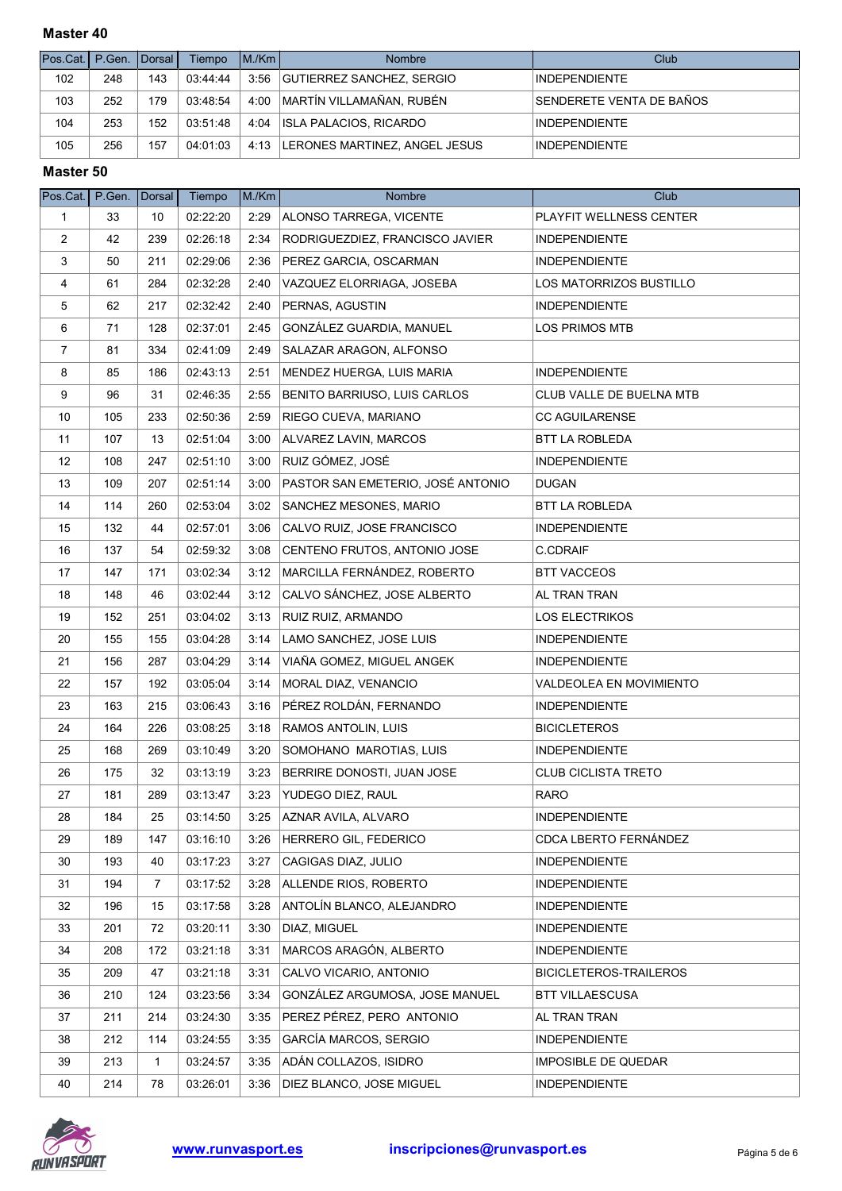| Pos.Cat.   P.Gen.   Dorsal I |     |     | Tiempo   | IM/Km | Nombre                               | Club                     |
|------------------------------|-----|-----|----------|-------|--------------------------------------|--------------------------|
| 102                          | 248 | 143 | 03:44:44 |       | 3:56 GUTIERREZ SANCHEZ, SERGIO       | <b>INDEPENDIENTE</b>     |
| 103                          | 252 | 179 | 03:48:54 |       | 4:00   MARTÍN VILLAMAÑAN, RUBÉN      | SENDERETE VENTA DE BAÑOS |
| 104                          | 253 | 152 | 03:51:48 | 4:04  | <b>ISLA PALACIOS, RICARDO</b>        | <b>INDEPENDIENTE</b>     |
| 105                          | 256 | 157 | 04:01:03 |       | 4:13   LERONES MARTINEZ, ANGEL JESUS | <b>INDEPENDIENTE</b>     |

| $Pos$ Cat.     | P.Gen. | <b>Dorsal</b> | Tiempo   | M./Km | Nombre                            | Club                       |
|----------------|--------|---------------|----------|-------|-----------------------------------|----------------------------|
| $\mathbf{1}$   | 33     | 10            | 02:22:20 | 2:29  | ALONSO TARREGA, VICENTE           | PLAYFIT WELLNESS CENTER    |
| $\overline{2}$ | 42     | 239           | 02:26:18 | 2:34  | RODRIGUEZDIEZ, FRANCISCO JAVIER   | <b>INDEPENDIENTE</b>       |
| 3              | 50     | 211           | 02:29:06 | 2:36  | PEREZ GARCIA, OSCARMAN            | <b>INDEPENDIENTE</b>       |
| $\overline{4}$ | 61     | 284           | 02:32:28 | 2:40  | VAZQUEZ ELORRIAGA, JOSEBA         | LOS MATORRIZOS BUSTILLO    |
| 5              | 62     | 217           | 02:32:42 | 2:40  | PERNAS, AGUSTIN                   | <b>INDEPENDIENTE</b>       |
| 6              | 71     | 128           | 02:37:01 | 2:45  | GONZÁLEZ GUARDIA, MANUEL          | <b>LOS PRIMOS MTB</b>      |
| 7              | 81     | 334           | 02:41:09 | 2:49  | SALAZAR ARAGON, ALFONSO           |                            |
| 8              | 85     | 186           | 02:43:13 | 2:51  | MENDEZ HUERGA, LUIS MARIA         | <b>INDEPENDIENTE</b>       |
| 9              | 96     | 31            | 02:46:35 | 2:55  | BENITO BARRIUSO, LUIS CARLOS      | CLUB VALLE DE BUELNA MTB   |
| 10             | 105    | 233           | 02:50:36 | 2:59  | RIEGO CUEVA, MARIANO              | <b>CC AGUILARENSE</b>      |
| 11             | 107    | 13            | 02:51:04 | 3:00  | ALVAREZ LAVIN, MARCOS             | BTT LA ROBLEDA             |
| 12             | 108    | 247           | 02:51:10 | 3:00  | RUIZ GÓMEZ, JOSÉ                  | <b>INDEPENDIENTE</b>       |
| 13             | 109    | 207           | 02:51:14 | 3:00  | PASTOR SAN EMETERIO, JOSÉ ANTONIO | <b>DUGAN</b>               |
| 14             | 114    | 260           | 02:53:04 | 3:02  | <b>SANCHEZ MESONES, MARIO</b>     | <b>BTT LA ROBLEDA</b>      |
| 15             | 132    | 44            | 02:57:01 | 3:06  | CALVO RUIZ, JOSE FRANCISCO        | <b>INDEPENDIENTE</b>       |
| 16             | 137    | 54            | 02:59:32 | 3:08  | CENTENO FRUTOS, ANTONIO JOSE      | C.CDRAIF                   |
| 17             | 147    | 171           | 03:02:34 | 3:12  | MARCILLA FERNÁNDEZ, ROBERTO       | <b>BTT VACCEOS</b>         |
| 18             | 148    | 46            | 03:02:44 | 3:12  | CALVO SÁNCHEZ, JOSE ALBERTO       | AL TRAN TRAN               |
| 19             | 152    | 251           | 03:04:02 | 3:13  | <b>RUIZ RUIZ, ARMANDO</b>         | <b>LOS ELECTRIKOS</b>      |
| 20             | 155    | 155           | 03:04:28 | 3:14  | LAMO SANCHEZ, JOSE LUIS           | <b>INDEPENDIENTE</b>       |
| 21             | 156    | 287           | 03:04:29 | 3:14  | VIAÑA GOMEZ, MIGUEL ANGEK         | <b>INDEPENDIENTE</b>       |
| 22             | 157    | 192           | 03:05:04 | 3:14  | MORAL DIAZ, VENANCIO              | VALDEOLEA EN MOVIMIENTO    |
| 23             | 163    | 215           | 03:06:43 | 3:16  | PÉREZ ROLDÁN, FERNANDO            | <b>INDEPENDIENTE</b>       |
| 24             | 164    | 226           | 03:08:25 | 3:18  | <b>RAMOS ANTOLIN, LUIS</b>        | <b>BICICLETEROS</b>        |
| 25             | 168    | 269           | 03:10:49 | 3:20  | SOMOHANO MAROTIAS, LUIS           | <b>INDEPENDIENTE</b>       |
| 26             | 175    | 32            | 03:13:19 | 3:23  | BERRIRE DONOSTI, JUAN JOSE        | <b>CLUB CICLISTA TRETO</b> |
| 27             | 181    | 289           | 03:13:47 | 3:23  | YUDEGO DIEZ, RAUL                 | <b>RARO</b>                |
| 28             | 184    | 25            | 03:14:50 | 3:25  | AZNAR AVILA, ALVARO               | <b>INDEPENDIENTE</b>       |
| 29             | 189    | 147           | 03:16:10 | 3:26  | HERRERO GIL, FEDERICO             | CDCA LBERTO FERNÁNDEZ      |
| 30             | 193    | 40            | 03:17:23 | 3:27  | CAGIGAS DIAZ, JULIO               | <b>INDEPENDIENTE</b>       |
| 31             | 194    | 7             | 03:17:52 | 3:28  | ALLENDE RIOS, ROBERTO             | <b>INDEPENDIENTE</b>       |
| 32             | 196    | 15            | 03:17:58 | 3:28  | ANTOLÍN BLANCO, ALEJANDRO         | <b>INDEPENDIENTE</b>       |
| 33             | 201    | 72            | 03:20:11 | 3:30  | DIAZ, MIGUEL                      | <b>INDEPENDIENTE</b>       |
| 34             | 208    | 172           | 03:21:18 | 3:31  | MARCOS ARAGÓN, ALBERTO            | <b>INDEPENDIENTE</b>       |
| 35             | 209    | 47            | 03:21:18 | 3:31  | CALVO VICARIO, ANTONIO            | BICICLETEROS-TRAILEROS     |
| 36             | 210    | 124           | 03:23:56 | 3:34  | GONZÁLEZ ARGUMOSA, JOSE MANUEL    | <b>BTT VILLAESCUSA</b>     |
| 37             | 211    | 214           | 03:24:30 | 3:35  | PEREZ PÉREZ, PERO ANTONIO         | AL TRAN TRAN               |
| 38             | 212    | 114           | 03:24:55 | 3:35  | GARCÍA MARCOS, SERGIO             | <b>INDEPENDIENTE</b>       |
| 39             | 213    | $\mathbf{1}$  | 03:24:57 | 3:35  | ADÁN COLLAZOS, ISIDRO             | <b>IMPOSIBLE DE QUEDAR</b> |
| 40             | 214    | 78            | 03:26:01 | 3:36  | DIEZ BLANCO, JOSE MIGUEL          | <b>INDEPENDIENTE</b>       |